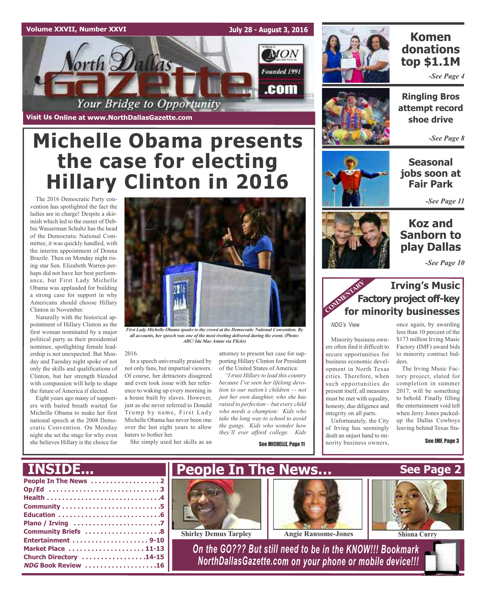#### **Volume XXVII, Number XXVI**

**July 28 - August 3, 2016**



**Visit Us Online at www.NorthDallasGazette.com**

# **Michelle Obama presents the case for electing Hillary Clinton in 2016**

The 2016 Democratic Party convention has spotlighted the fact the ladies are in charge! Despite a skirmish which led to the ouster of Debbie Wasserman Schultz has the head of the Democratic National Committee, it was quickly handled, with the interim appointment of Donna Brazile. Then on Monday night rising star Sen. Elizabeth Warren perhaps did not have her best performance, but First Lady Michelle Obama was applauded for building a strong case for support in why Americans should choose Hillary Clinton in November.

Naturally with the historical appointment of Hillary Clinton as the first woman nominated by a major political party as their presidential nominee, spotlighting female leadership is not unexpected. But Monday and Tuesday night spoke of not only the skills and qualifications of Clinton, but her strength blended with compassion will help to shape the future of America if elected.

Eight years ago many of supporters with baited breath waited for Michelle Obama to make her first national speech at the 2008 Democratic Convention. On Monday night she set the stage for why even she believes Hillary is the choice for



*First Lady Michelle Obama speaks to the crowd at the Democratic National Convention. By all accounts, her speech was one of the most riveting delivered during the event. (Photo: ABC/ Ida Mae Astute via Flickr)*

#### 2016.

In a speech universally praised by not only fans, but impartial viewers. Of course, her detractors disagreed and even took issue with her reference to waking up every morning in a house built by slaves. However, just as she never referred to Donald Trump by name, First Lady Michelle Obama has never been one over the last eight years to allow haters to bother her.

She simply used her skills as an

## **Komen donations top \$1.1M**

*-See Page 4*

**Ringling Bros attempt record shoe drive**

*-See Page 8*

**Seasonal jobs soon at Fair Park**

*-See Page 11*

## **Koz and Sanborn to play Dallas**

*-See Page 10*

## **Irving's Music Factory project off-key for minority businesses**<br> **Factory project off-key**<br> **COMMENTARY**<br> **COMMENTARY**<br> **COMMENTARY**

*NDG's* View

Minority business owners often find it difficult to secure opportunities for business economic development in North Texas cities. Therefore, when such opportunities do present itself, all measures must be met with equality, honesty, due diligence and integrity on all parts.

Unfortunately, the City of Irving has seemingly dealt an unjust hand to minority business owners,

once again, by awarding less than 10 percent of the \$173 million Irving Music Factory (IMF) award bids to minority contract bidders.

The Irving Music Factory project, slated for completion in summer 2017, will be something to behold. Finally filling the entertainment void left when Jerry Jones packedup the Dallas Cowboys leaving behind Texas Sta-

See IMF, Page 3



attorney to present her case for supporting Hillary Clinton for President of the United States of America: *"I trust Hillary to lead this country because I've seen her lifelong devotion to our nation's children –- not just her own daughter, who she has raised to perfection – but every child who needs a champion: Kids who take the long way to school to avoid the gangs. Kids who wonder how they'll ever afford college. Kids*

See MICHELLE, Page 11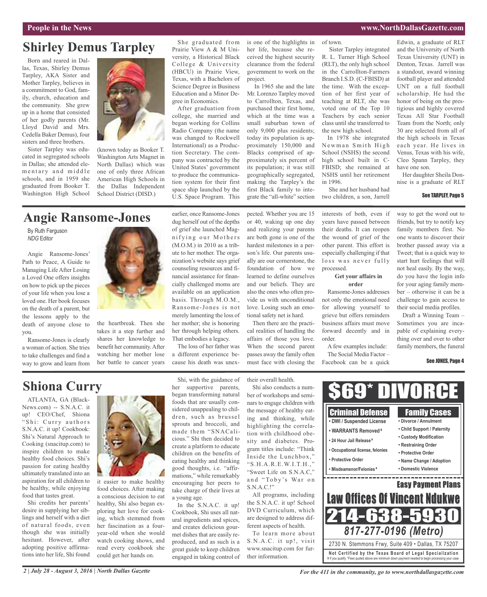# **Shirley Demus Tarpley**

Born and reared in Dallas, Texas, Shirley Demus Tarpley, AKA Sister and Mother Tarpley, believes in a commitment to God, family, church, education and the community. She grew up in a home that consisted of her godly parents (Mr. Lloyd David and Mrs. Cedella Baker Demus), four sisters and three brothers.

Sister Tarpley was educated in segregated schools in Dallas; she attended elementary and middle schools, and in 1959 she graduated from Booker T. Washington High School



(known today as Booker T. Washington Arts Magnet in North Dallas) which was one of only three African American High Schools in the Dallas Independent School District (DISD.)

#### She graduated from Prairie View A & M University, a Historical Black College & University (HBCU) in Prairie View, Texas, with a Bachelors of Science Degree in Business Education and a Minor Degree in Economics.

After graduation from college, she married and began working for Collins Radio Company (the name was changed to Rockwell International) as a Production Secretary. The company was contracted by the United States' government to produce the communication system for their first space ship launched by the U.S. Space Program. This

is one of the highlights in her life, because she received the highest security clearance from the federal government to work on the project.

In 1965 she and the late Mr. Lorenzo Tarpley moved to Carrollton, Texas, and purchased their first home, which at the time was a small suburban town of only 9,000 plus residents; today its population is approximately 150,000 and Blacks comprised of approximately six percent of its population; it was still geographically segregated, making the Tarpley's the first Black family to integrate the "all-white" section

of town.

Sister Tarpley integrated R. L. Turner High School (RLT), the only high school in the Carrollton-Farmers Branch I.S.D. (C-FBISD) at the time. With the exception of her first year of teaching at RLT, she was voted one of the Top 10 Teachers by each senior class until she transferred to the new high school. In 1978 she integrated

Newman Smith High School (NSHS) the second high school built in C-FBISD; she remained at NSHS until her retirement in 1996.

She and her husband had two children, a son, Jarrell

Edwin, a graduate of RLT and the University of North Texas University (UNT) in Denton, Texas. Jarrell was a standout, award winning football player and attended UNT on a full football scholarship. He had the honor of being on the prestigious and highly covered Texas All Star Football Team from the North; only 30 are selected from all of the high schools in Texas each year. He lives in Venus, Texas with his wife, Cleo Spann Tarpley, they have one son.

Her daughter Sheila Donnise is a graduate of RLT

#### See TARPLEY, Page 5

# **Angie Ransome-Jones**

By Ruth Ferguson *NDG* Editor

Angie Ransome-Jones' Path to Peace, A Guide to Managing Life After Losing a Loved One offers insights on how to pick up the pieces of your life when you lose a loved one. Her book focuses on the death of a parent, but the lessons apply to the death of anyone close to you.

Ransome-Jones is clearly a woman of action. She tries to take challenges and find a way to grow and learn from



the heartbreak. Then she takes it a step further and shares her knowledge to benefit her community.After watching her mother lose her battle to cancer years

earlier, once Ransome-Jones dug herself out of the depths of grief she launched Magnifying our Mothers (M.O.M.) in 2010 as a tribute to her mother. The organization's website says grief counseling resources and financial assistance for financially challenged moms are available on an application basis. Through M.O.M., Ransome-Jones is not merely lamenting the loss of her mother; she is honoring her through helping others. That embodies a legacy.

The loss of her father was a different experience because his death was unex-

**Shiona Curry**

ATLANTA, GA (Black-News.com) -- S.N.A.C. it up! CEO/Chef, Shiona "Shi: Curry authors S.N.A.C. it up! Cookbook: Shi's Natural Approach to Cooking (snacitup.com) to inspire children to make healthy food choices. Shi's passion for eating healthy ultimately translated into an aspiration for all children to be healthy, while enjoying food that tastes great.

Shi credits her parents' desire in supplying her siblings and herself with a diet of natural foods, even though she was initially hesitant. However, after adopting positive affirmations into her life, Shi found



food choices. After making a conscious decision to eat healthy, Shi also began exploring her love for cooking, which stemmed from her fascination as a fouryear-old when she would watch cooking shows, and read every cookbook she could get her hands on.

Shi, with the guidance of her supportive parents, began transforming natural foods that are usually considered unappealing to children, such as brussel sprouts and broccoli, and made them "SNACalicious." Shi then decided to create a platform to educate children on the benefits of eating healthy and thinking good thoughts, i.e. "affirmations," while remarkably encouraging her peers to take charge of their lives at a young age.

In the S.N.A.C. it up! Cookbook, Shi uses all natural ingredients and spices, and creates delicious gourmet dishes that are easily reproduced, and as such is a great guide to keep children engaged in taking control of

pected. Whether you are 15 or 40, waking up one day and realizing your parents are both gone is one of the hardest milestones in a person's life. Our parents usually are our cornerstone, the foundation of how we learned to define ourselves and our beliefs. They are also the ones who often provide us with unconditional love. Losing such an emotional safety net is hard.

Then there are the practical realities of handling the affairs of those you love. When the second parent passes away the family often must face with closing the

their overall health.

Shi also conducts a number of workshops and seminars to engage children with the message of healthy eating and thinking, while highlighting the correlation with childhood obesity and diabetes. Program titles include: "Think Inside the Lunchbox," "S.H.A.R.E.W.I.T.H.," "Sweet Life on S.N.A.C," and "Toby's War on S.N.A.C.!"

All programs, including the S.N.A.C. it up! School DVD Curriculum, which are designed to address different aspects of health.

To learn more about S.N.A.C. it up!, visit www.snacitup.com for further information.

interests of both, even if years have passed between their deaths. It can reopen the wound of grief of the other parent. This effort is especially challenging if that loss was never fully processed.

#### **Get your affairs in order**

Ransome-Jones addresses not only the emotional need for allowing yourself to grieve but offers reminders business affairs must move forward decently and in order.

A few examples include: The Social Media Factor – Facebook can be a quick

way to get the word out to friends, but try to notify key family members first. No one wants to discover their brother passed away via a Tweet; that is a quick way to start hurt feelings that will not heal easily. By the way, do you have the login info for your aging family member – otherwise it can be a challenge to gain access to their social media profiles.

Draft a Winning Team – Sometimes you are incapable of explaining everything over and over to other family members, the funeral

#### See JONES, Page 4

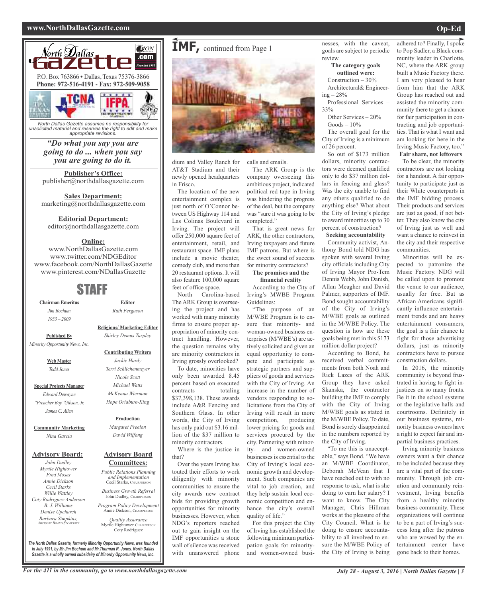#### **www.NorthDallasGazette.com Op-Ed**



*North Dallas Gazette assumes no responsibility for unsolicited material and reserves the right to edit and make appropriate revisions.*

> *"Do what you say you are going to do ... when you say you are going to do it.*

**Publisher's Office:** publisher@northdallasgazette.com

**Sales Department:** marketing@northdallasgazette.com

#### **Editorial Department:**

editor@northdallasgazette.com

#### **Online:**

www.NorthDallasGazette.com www.twitter.com/NDGEditor www.facebook.com/NorthDallasGazette www.pinterest.com/NDallasGazette

## STAFF

**Chairman Emeritus** *Jim Bochum 1933 – 2009*

> **Religious/ Marketing Editor** *Shirley Demus Tarpley*

**Editor** *Ruth Ferguson*

**Published By** *Minority Opportunity News, Inc.*

> **Web Master** *Todd Jones*

**Special Projects Manager** *Edward Dewayne "Preacher Boy"Gibson, Jr. James C. Allen*

**Community Marketing** *Nina Garcia*

#### **Advisory Board:**

*John Dudley Myrtle Hightower Fred Moses Annie Dickson Cecil Starks Willie Wattley Coty Rodriguez-Anderson B. J. Williams Denise Upchurch Barbara Simpkins, ADVISORY BOARD SECRETARY*

*Nicole Scott Michael Watts McKenna Wierman Hope Oriabure-King* **Production** *Margaret Freelon*

**Contributing Writers** *Jackie Hardy Terri Schlichenmeyer*

*David Wilfong*

#### **Advisory Board Committees:**

*Public Relations Planning and Implementation* Cecil Starks, CHAIRPERSON *Business Growth Referral*

John Dudley, CHAIRPERSON

*Program Policy Development* Annie Dickson, CHAIRPE

*Quality Assurance* Myrtle Hightower, CHAIRPERSON Coty Rodriguez

**IMF,** continued from Page <sup>1</sup>

dium and Valley Ranch for AT&T Stadium and their newly opened headquarters in Frisco.

The location of the new entertainment complex is just north of O'Connor between US Highway 114 and Las Colinas Boulevard in Irving. The project will offer 250,000 square feet of entertainment, retail, and restaurant space. IMF plans include a movie theater, comedy club, and more than 20 restaurant options. It will also feature 100,000 square feet of office space.

North Carolina-based The ARK Group is overseeing the project and has worked with many minority firms to ensure proper appropriation of minority contract handling. However, the question remains why are minority contractors in Irving grossly overlooked?

To date, minorities have only been awarded 8.45 percent based on executed contracts totaling \$37,398,138. These awards include A&R Fencing and Southern Glass. In other words, the City of Irving has only paid out \$3.16 million of the \$37 million to minority contractors.

Where is the justice in that?

Over the years Irving has touted their efforts to work diligently with minority communities to ensure the city awards new contract bids for providing growth opportunities for minority businesses. However, when NDG's reporters reached out to gain insight on the IMF opportunities a stone wall of silence was received with unanswered phone

calls and emails.

The ARK Group is the company overseeing this ambitious project, indicated political red tape in Irving was hindering the progress of the deal, but the company was "sure it was going to be completed."

That is great news for ARK, the other contractors, Irving taxpayers and future IMF patrons. But where is the sweet sound of success for minority contractors?

#### **The promises and the financial reality**

According to the City of Irving's MWBE Program Guidelines:

"The purpose of an M/WBE Program is to ensure that minority- and woman-owned business enterprises (M/WBE's) are actively solicited and given an equal opportunity to compete and participate as strategic partners and suppliers of goods and services with the City of Irving. An increase in the number of vendors responding to solicitations from the City of Irving will result in more competition, producing lower pricing for goods and services procured by the city. Partnering with minority- and women-owned businesses is essential to the City of Irving's local economic growth and development. Such companies are vital to job creation, and they help sustain local economic competition and enhance the city's overall quality of life."

For this project the City of Irving has established the following minimum participation goals for minorityand women-owned businesses, with the caveat, goals are subject to periodic review. **The category goals**

**outlined were:** Construction – 30% Architectural& Engineer-

 $ing - 28%$ Professional Services –

33%

Other Services – 20%  $Goods - 10%$ 

The overall goal for the City of Irving is a minimum of 26 percent.

So out of \$173 million dollars, minority contractors were deemed qualified only to do \$37 million dollars in fencing and glass? Was the city unable to find any others qualified to do anything else? What about the City of Irving's pledge to award minorities up to 30 percent of construction?

**Seeking accountability** Community activist, Anthony Bond told NDG has spoken with several Irving city officials including City of Irving Mayor Pro-Tem Dennis Webb, John Danish, Allan Meagher and David Palmer, supporters of IMF. Bond sought accountability of the City of Irving's M/WBE goals as outlined in the M/WBE Policy. The question is how are these goals being met in this \$173

million dollar project? According to Bond, he received verbal commitments from both Noah and Rick Lazes of the ARK Group they have asked Skanska, the contractor building the IMF to comply with the City of Irving M/WBE goals as stated in the M/WBE Policy. To date, Bond is sorely disappointed in the numbers reported by the City of Irving.

"To me this is unacceptable," says Bond. "We have an M/WBE Coordinator, Deborah McVean that I have reached out to with no response to ask, what is she doing to earn her salary? I want to know. The City Manager, Chris Hillman works at the pleasure of the City Council. What is he doing to ensure accountability to all involved to ensure the M/WBE Policy of the City of Irving is being

adhered to? Finally, I spoke to Pop Sadler, a Black community leader in Charlotte, NC, where the ARK group built a Music Factory there. I am very pleased to hear from him that the ARK Group has reached out and assisted the minority community there to get a chance for fair participation in contracting and job opportunities. That is what I want and am looking for here in the Irving Music Factory, too." **Fair share, not leftovers**

To be clear, the minority contractors are not looking for a handout. A fair opportunity to participate just as their White counterparts in the IMF bidding process. Their products and services are just as good, if not better. They also know the city of Irving just as well and want a chance to reinvest in the city and their respective communities.

Minorities will be expected to patronize the Music Factory. NDG will be called upon to promote the venue to our audience, usually for free. But as African Americans significantly influence entertainment trends and are heavy entertainment consumers, the goal is a fair chance to fight for those advertising dollars, just as minority contractors have to pursue construction dollars.

In 2016, the minority community is beyond frustrated in having to fight injustices on so many fronts. Be it in the school systems or the legislative halls and courtrooms. Definitely in our business systems, minority business owners have a right to expect fair and impartial business practices.

Irving minority business owners want a fair chance to be included because they are a vital part of the community. Through job creation and community reinvestment, Irving benefits from a healthy minority business community. These organizations will continue to be a part of Irving's success long after the patrons who are wowed by the entertainment center have gone back to their homes.

*The North Dallas Gazette, formerly Minority Opportunity News, was founded in July 1991, by Mr.Jim Bochum and Mr.Thurman R. Jones. North Dallas Gazette is a wholly owned subsidairy of Minority Opportunity News, Inc.*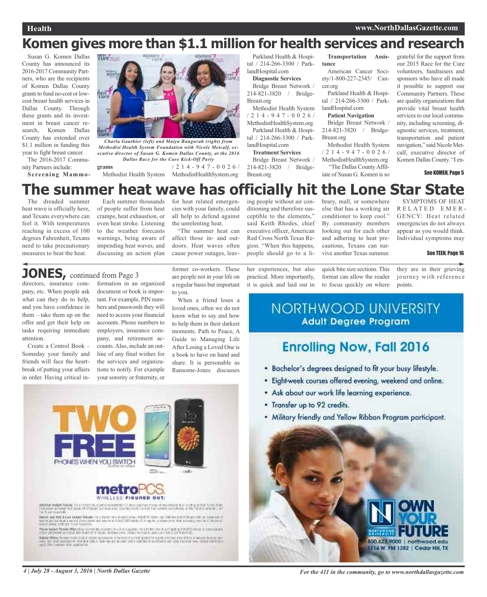# **Komen gives more than \$1.1 million for health services and research**

Susan G. Komen Dallas County has announced its 2016-2017 Community Partners, who are the recipients of Komen Dallas County grants to fund no-cost or lowcost breast health services in Dallas County. Through these grants and its investment in breast cancer research, Komen Dallas County has extended over \$1.1 million in funding this year to fight breast cancer.

The 2016-2017 Community Partners include: **Screening Mammo-**



*Charla Gauthier (left) and Maiya Bangurah (right) from Methodist Health System Foundation with Nicole Metcalf, executive director of Susan G. Komen Dallas County, at the 2016 Dallas Race for the Cure Kick-Off Party*

**grams** Methodist Health System MethodistHealthSystem.org / 2 1 4 - 9 4 7 - 0 0 2 6 /

Parkland Health & Hospital / 214-266-3300 / ParklandHospital.com

#### **Diagnostic Services**

Bridge Breast Network / 214-821-3820 / Bridge-Breast.org Methodist Health System

/ 2 1 4 - 9 4 7 - 0 0 2 6 / MethodistHealthSystem.org Parkland Health & Hospi-

tal / 214-266-3300 / ParklandHospital.com **Treatment Services**

Bridge Breast Network / 214-821-3820 / Bridge-

**Transportation Assistance**

American Cancer Society/1-800-227-2345/ Cancer.org

Parkland Health & Hospital / 214-266-3300 / ParklandHospital.com

#### **Patient Navigation**

Bridge Breast Network / 214-821-3820 / Bridge-Breast.org

Methodist Health System / 2 1 4 - 9 4 7 - 0 0 2 6 / MethodistHealthSystem.org "The Dallas CountyAffiliate of Susan G. Komen is so

grateful for the support from our 2015 Race for the Cure volunteers, fundraisers and sponsors who have all made it possible to support our Community Partners. These are quality organizations that provide vital breast health services to our local community, including screening, diagnostic services, treatment, transportation and patient navigation," said Nicole Metcalf, executive director of Komen Dallas County. "I en-

See KOMEN, Page 5

### **The summer heat wave has officially hit the Lone Star State** SYMPTOMS OF HEAT

Breast.org

The dreaded summer heat wave is officially here, and Texans everywhere can feel it. With temperatures reaching in excess of 100 degrees Fahrenheit, Texans need to take precautionary measures to beat the heat.

Each summer thousands of people suffer from heat cramps, heat exhaustion, or even heat stroke. Listening to the weather forecasts warnings, being aware of impending heat waves, and discussing an action plan

for heat related emergencies with your family, could all help to defend against the unrelenting heat.

"The summer heat can affect those in- and outdoors. Heat waves often cause power outages, leav-

ing people without air conditioning and therefore susceptible to the elements," said Keith Rhodes, chief executive officer, American Red Cross North Texas Region. "When this happens, people should go to a library, mall, or somewhere else that has a working air conditioner to keep cool." By community members looking out for each other and adhering to heat precautions, Texans can survive another Texas summer.

they are in their grieving journey with reference See TEEN, Page 16

R E L A T E D E M E R - GENCY: Heat related emergencies do not always appear as you would think. Individual symptoms may

points.

**JONES,** continued from Page <sup>3</sup>

directors, insurance company, etc. When people ask what can they do to help, and you have confidence in them – take them up on the offer and get their help on tasks requiring immediate attention.

Create a Control Book – Someday your family and friends will face the heartbreak of putting your affairs in order. Having critical information in an organized document or book is impor-

tant. For example, PIN numbers and passwords they will need to access your financial accounts. Phone numbers to employers, insurance company, and retirement accounts.Also, include an outline of any final wishes for the services and organizations to notify. For example yoursorority or fraternity, or former co-workers. These are people not in your life on a regular basis but important to you.

When a friend loses a loved ones, often we do not know what to say and how to help them in their darkest moments. Path to Peace, A Guide to Managing Life After Losing a Loved One is a book to have on hand and share. It is personable as Ransome-Jones discusses



**NORTHWOOD UNIVERSITY Adult Degree Program** 

quick bite size sections. This format can allow the reader to focus quickly on where

# **Enrolling Now, Fall 2016**

- . Bachelor's degrees designed to fit your busy lifestyle.
- · Eightweek courses offered evening, weekend and online.
- Ask about our work life learning experience.
- . Transfer up to 92 credits.
- . Military friendly and Yellow Ribbon Program participant.





instich wat das Arbay bedagt Matyrie. Pa is instruction af particular, Matyritis dans, etw. Debate train it Mo<br>Instrumed particular a month plane above and renorm as it wild OHI while off of regular continuum to refer acti HELL SAN THESE JONNA

When indeed from the first matrix<br>(  $\sim$  10  $\mu$  m) and a changing out of the<br>response of a transformation of the Contraction of the contract of the<br>contraction of the Contraction of the contraction of the contraction of<br>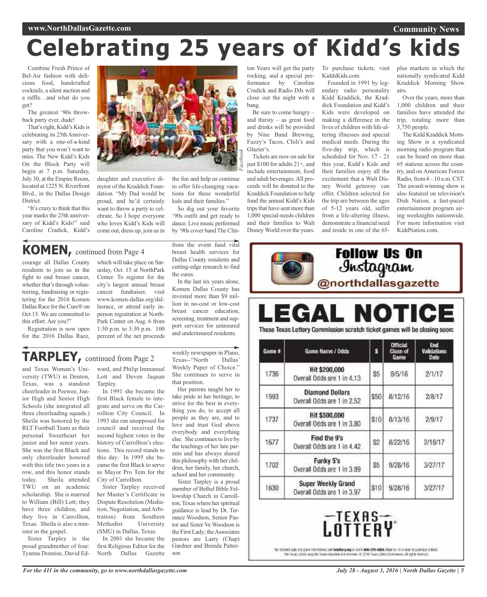# **Celebrating 25 years of Kidd's kids**

Combine Fresh Prince of Bel-Air fashion with delicious food, handcrafted cocktails, a silent auction and a raffle…and what do you get?

The greatest '90s throwback party ever, dude!

That's right, Kidd's Kids is celebrating its 25th Anniversary with a one-of-a-kind party that you won't want to miss. The New Kidd's Kids On the Block Party will begin at 7 p.m. Saturday, July 30, at the Empire Room, located at 1225 N. Riverfront Blvd., in the Dallas Design District.

"It's crazy to think that this year marks the 25th anniversary of Kidd's Kids!" said Caroline Cradick, Kidd's

daughter and executive director of the Kraddick Foundation. "My Dad would be proud, and he'd certainly want to throw a party to celebrate. So I hope everyone who loves Kidd's Kids will

the fun and help us continue to offer life-changing vacations for these wonderful kids and their families." *Facebook*

So dig out your favorite '90s outfit and get ready to dance. Live music performed by '90s cover band The Clin-

**KOMEN,** continued from Page <sup>4</sup>

courage all Dallas County residents to join us in the fight to end breast cancer, whether that's through volunteering, fundraising or registering for the 2016 Komen Dallas Race for the Cure® on Oct 15. We are committed to this effort. Are you?"

Registration is now open for the 2016 Dallas Race,

which will take place on Saturday, Oct. 15 at NorthPark Center. To register for the city's largest annual breast cancer fundraiser, visit www.komen-dallas.org/dallasrace, or attend early inperson registration at North-Park Center on Aug. 6 from 1:30 p.m. to 3:30 p.m. 100 percent of the net proceeds

come out, dress up, join us in

from the event fund vital breast health services for Dallas County residents and cutting-edge research to find the cures.

In the last six years alone, Komen Dallas County has invested more than \$9 million in no-cost or low-cost breast cancer education, screening, treatment and support services for uninsured and underinsured residents.

# **TARPLEY,** continued from Page <sup>2</sup>

and Texas Woman's University (TWU) in Denton, Texas, was a standout cheerleader in Peewee, Junior High and Senior High Schools (she integrated all three cheerleading squads.) Sheila was honored by the RLT Football Team as their personal Sweetheart her junior and her senor years. She was the first Black and only cheerleader honored with this title two years in a row, and this honor stands today. Sheila attended TWU on an academic scholarship. She is married to William (Bill) Lott; they have three children, and they live in Carrollton, Texas. Sheila is also a minister in the gospel.

Sister Tarpley is the proud grandmother of four: Tyanna Donnise, David Ed-

ward, and Philip Immanual Lott and Deven Jaquan Tarpley.

In 1991 she became the first Black female to integrate and serve on the Carrollton City Council. In 1993 she ran unopposed for council and received the second highest votes in the history of Carrollton's elections. This record stands to this day. In 1995 she became the first Black to serve as Mayor Pro Tem for the City of Carrollton.

Sister Tarpley received her Master's Certificate in Dispute Resolution (Mediation, Negotiation, and Arbitration) from Southern Methodist University (SMU) in Dallas, Texas.

In 2001 she became the first Religious Editor for the North Dallas Gazette

weekly newspaper in Plano, Texas--"North Dallas' Weekly Paper of Choice." She continues to serve in that position.

Her parents taught her to take pride in her heritage, to strive for the best in everything you do, to accept all people as they are, and to love and trust God above everybody and everything else. She continues to live by the teachings of her late parents and has always shared this philosophy with her children, her family, her church, school and her community.

Sister Tarpley is a proud member of Bethel Bible Fellowship Church in Carrollton, Texas where her spiritual guidance is lead by Dr. Terrance Woodson, Senior Pastor and Sister Ve Woodson is the First Lady; the Associates pastors are Larry (Chap) Gardner and Brenda Patterson

ton Years will get the party rocking, and a special performance by Caroline Cradick and Radio DJs will close out the night with a bang.

Be sure to come hungry – and thirsty – as great food and drinks will be provided by Nine Band Brewing, Fuzzy's Tacos, Chili's and Glazier's.

Tickets are now on sale for just \$100 for adults 21+, and include entertainment, food and adult beverages.All proceeds will be donated to the Kraddick Foundation to help fund the annual Kidd's Kids trips that have sent more than 1,000 special-needs children and their families to Walt Disney World over the years.

To purchase tickets, visit KiddsKids.com.

Founded in 1991 by legendary radio personality Kidd Kraddick, the Kraddick Foundation and Kidd's Kids were developed on making a difference in the lives of children with life-altering illnesses and special medical needs. During the five-day trip, which is scheduled for Nov. 17 - 21 this year, Kidd's Kids and their families enjoy all the excitement that a Walt Disney World getaway can offer. Children selected for the trip are between the ages of 5-12 years old, suffer from a life-altering illness, demonstrate a financial need and reside in one of the 65plus markets in which the nationally syndicated Kidd Kraddick Morning Show airs.

**Community News**

Over the years, more than 1,000 children and their families have attended the trip, totaling more than 3,750 people.

The Kidd Kraddick Morning Show is a syndicated morning radio program that can be heard on more than 65 stations across the country, and on American Forces Radio, from 6 - 10 a.m. CST. The award-winning show is also featured on television's Dish Nation, a fast-paced entertainment program airing weeknights nationwide. For more information visit KiddNation.com.

# Jnstagram<br>@northdallasgazette **EGAL NOTICE**

**Follow Us On** 

These Texas Lottery Commission scratch ticket games will be closing soon:

| Game # | Game Name / Odds                                     | ś              | <b>Official</b><br><b>Close of</b><br>Game | End<br><b>Validations</b><br>Date |
|--------|------------------------------------------------------|----------------|--------------------------------------------|-----------------------------------|
| 1736   | Hit \$200,000<br>Overall Odds are 1 in 4.13          | S5             | 8/5/16                                     | 2/1/17                            |
| 1593   | <b>Diamond Dollars</b><br>Overall Odds are 1 in 2.52 | \$50           | 8/12/16                                    | 2/8/17                            |
| 1737   | Hit \$500,000<br>Overall Odds are 1 in 3.80          | \$10           | 8/13/16                                    | 2/9/17                            |
| 1677   | Find the 9's<br>Overall Odds are 1 in 4.42           | S <sub>2</sub> | 8/22/16                                    | 2/18/17                           |
| 1702   | Funky 5's<br>Overall Odds are 1 in 3.89              | \$5            | 9/28/16                                    | 3/27/17                           |
| 1630   | Super Weekly Grand<br>Overall Odds are 1 in 3.97     | \$10           | 9/28/16                                    | 3/27/17                           |

# -TEXAS-<br>.ottfay

Rel probled octo pro panel internation, your tolertheyang area if t-800-306-4888. Must be 18 or side to pantiace a telef. The Timux Cottery moderns from school for any withouts. C-25-6 Theoristically Continuous: All Agilia lowing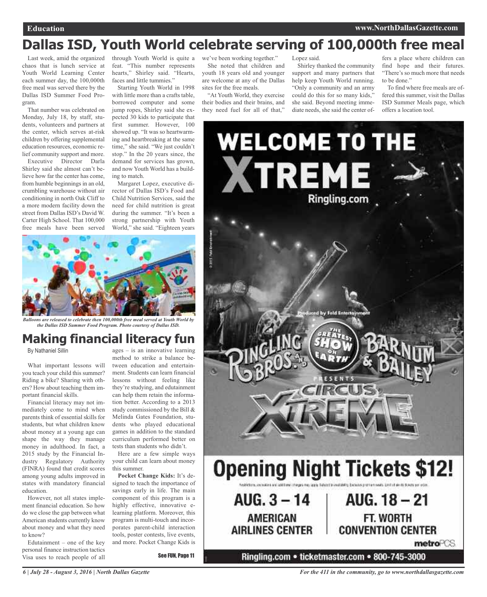# **Dallas ISD, Youth World celebrate serving of 100,000th free meal**

Last week, amid the organized chaos that is lunch service at Youth World Learning Center each summer day, the 100,000th free meal was served there by the Dallas ISD Summer Food Program.

That number was celebrated on Monday, July 18, by staff, students, volunteers and partners at the center, which serves at-risk children by offering supplemental education resources, economic relief community support and more.

Executive Director Darla Shirley said she almost can't believe how far the center has come, from humble beginnings in an old, crumbling warehouse without air conditioning in north Oak Cliff to a more modern facility down the street from Dallas ISD's David W. Carter High School. That 100,000 free meals have been served

through Youth World is quite a we've been working together." feat. "This number represents hearts," Shirley said. "Hearts, faces and little tummies."

Starting Youth World in 1998 with little more than a crafts table, borrowed computer and some jump ropes, Shirley said she expected 30 kids to participate that first summer. However, 100 showed up. "It was so heartwarming and heartbreaking at the same time," she said. "We just couldn't stop." In the 20 years since, the demand for services has grown, and now Youth World has a building to match.

Margaret Lopez, executive director of Dallas ISD's Food and Child Nutrition Services, said the need for child nutrition is great during the summer. "It's been a strong partnership with Youth World," she said. "Eighteen years



*Balloons are released to celebrate then 100,000th free meal served at Youth World by the Dallas ISD Summer Food Program. Photo courtesy of Dallas ISD.*

# **Making financial literacy fun**

By Nathaniel Sillin

What important lessons will you teach your child this summer? Riding a bike? Sharing with others? How about teaching them important financial skills.

Financial literacy may not immediately come to mind when parents think of essential skills for students, but what children know about money at a young age can shape the way they manage money in adulthood. In fact, a 2015 study by the Financial Industry Regulatory Authority (FINRA) found that credit scores among young adults improved in states with mandatory financial education.

However, not all states implement financial education. So how do we close the gap between what American students currently know about money and what they need to know?

Edutainment – one of the key personal finance instruction tactics Visa uses to reach people of all

ages – is an innovative learning method to strike a balance between education and entertainment. Students can learn financial lessons without feeling like they're studying, and edutainment can help them retain the information better. According to a 2013 study commissioned by the Bill & Melinda Gates Foundation, students who played educational games in addition to the standard curriculum performed better on tests than students who didn't.

Here are a few simple ways your child can learn about money this summer.

**Pocket Change Kids:** It's designed to teach the importance of savings early in life. The main component of this program is a highly effective, innovative elearning platform. Moreover, this program is multi-touch and incorporates parent-child interaction tools, poster contests, live events, and more. Pocket Change Kids is

See FUN, Page 11

She noted that children and youth 18 years old and younger are welcome at any of the Dallas sites for the free meals.

"At Youth World, they exercise their bodies and their brains, and they need fuel for all of that,"

Lopez said.

Shirley thanked the community support and many partners that help keep Youth World running. "Only a community and an army could do this for so many kids," she said. Beyond meeting immediate needs, she said the center of-

fers a place where children can find hope and their futures. "There's so much more that needs to be done."

To find where free meals are offered this summer, visit the Dallas ISD Summer Meals page, which offers a location tool.

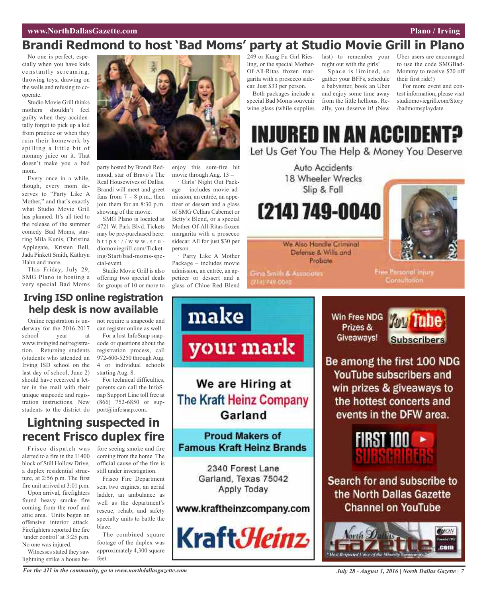# **Brandi Redmond to host 'Bad Moms' party at Studio Movie Grill in Plano**

No one is perfect, especially when you have kids constantly screaming, throwing toys, drawing on the walls and refusing to cooperate.

Studio Movie Grill thinks mothers shouldn't feel guilty when they accidentally forget to pick up a kid from practice or when they ruin their homework by spilling a little bit of mommy juice on it. That doesn't make you a bad mom.

Every once in a while, though, every mom deserves to "Party Like A Mother," and that's exactly what Studio Movie Grill has planned. It's all tied to the release of the summer comedy Bad Moms, starring Mila Kunis, Christina Applegate, Kristen Bell, Jada Pinkett Smith, Kathryn Hahn and more.

This Friday, July 29, SMG Plano is hosting a very special Bad Moms



party hosted by Brandi Redmond, star of Bravo's The Real Housewives of Dallas. Brandi will meet and greet fans from  $7 - 8$  p.m., then join them for an 8:30 p.m. showing of the movie.

SMG Plano is located at 4721 W. Park Blvd. Tickets may be pre-purchased here: h t t p s :  $//$  w w w . s t u diomoviegrill.com/Ticketing/Start/bad-moms-special-event

Studio Movie Grill is also offering two special deals for groups of 10 or more to

enjoy this sure-fire hit movie through Aug. 13 –

· Girls' Night Out Package – includes movie admission, an entrée, an appetizer or dessert and a glass of SMG Cellars Cabernet or Betty's Blend, or a special Mother-Of-All-Ritas frozen margarita with a prosecco sidecar. All for just \$30 per person.

· Party Like A Mother Package – includes movie admission, an entrée, an appetizer or dessert and a glass of Chloe Red Blend

249 or Kung Fu Girl Riesling, or the special Mother-Of-All-Ritas frozen margarita with a prosecco sidecar. Just \$33 per person.

Both packages include a special Bad Moms souvenir wine glass (while supplies

last) to remember your night out with the girls!

Space is limited, so gather your BFFs, schedule a babysitter, book an Uber and enjoy some time away from the little hellions. Really, you deserve it! (New

Uber users are encouraged to use the code SMGBad-Mommy to receive \$20 off their first ride!)

For more event and contest information, please visit studiomoviegrill.com/Story /badmomsplaydate.

INJURED IN AN ACCIDENT? Let Us Get You The Help & Money You Deserve

> Auto Accidents 18 Wheeler Wrecks Slip & Fall

(214) 749-0040



We Also Handle Criminal Defense & Wills and Probate

Gina Smith & Associates 2141749-0040

Free Parsonal Injury Consultation.

**Irving ISD online registration help desk is now available**

Online registration is underway for the 2016-2017 school vear at www.irvingisd.net/registration. Returning students (students who attended an Irving ISD school on the last day of school, June 2) should have received a letter in the mail with their unique snapcode and registration instructions. New students to the district do not require a snapcode and can register online as well.

For a lost InfoSnap snapcode or questions about the registration process, call 972-600-5250 through Aug. 4 or individual schools starting Aug. 8.

For technical difficulties, parents can call the InfoSnap Support Line toll free at (866) 752-6850 or support@infosnap.com.

# **Lightning suspected in recent Frisco duplex fire**

Frisco dispatch was alerted to a fire in the 11400 block of Still Hollow Drive, a duplex residential structure, at 2:56 p.m. The first fire unit arrived at 3:01 p.m.

Upon arrival, firefighters found heavy smoke fire coming from the roof and attic area. Units began an offensive interior attack. Firefighters reported the fire 'under control' at 3:25 p.m. No one was injured.

Witnesses stated they saw lightning strike a house before seeing smoke and fire coming from the home. The official cause of the fire is still under investigation.

Frisco Fire Department sent two engines, an aerial ladder, an ambulance as well as the department's rescue, rehab, and safety specialty units to battle the blaze.

The combined square footage of the duplex was approximately 4,300 square feet.



Win Free NDG Prizes & Giveaways!



Be among the first 100 NDG YouTube subscribers and win prizes & giveaways to the hottest concerts and events in the DFW area.



Search for and subscribe to the North Dallas Gazette **Channel on YouTube** 

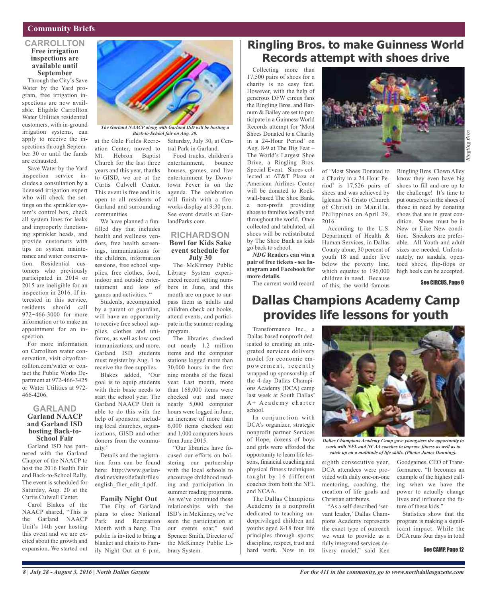#### **Community Briefs**

#### **CARROLLTON Free irrigation inspections are available until September**

Through the City's Save Water by the Yard program, free irrigation inspections are now available. Eligible Carrollton Water Utilities residential customers, with in-ground irrigation systems, can apply to receive the inspections through September 30 or until the funds are exhausted.

Save Water by the Yard inspection service includes a consultation by a licensed irrigation expert who will check the settings on the sprinkler system's control box, check all system lines for leaks and improperly functioning sprinkler heads, and provide customers with tips on system maintenance and water conservation. Residential customers who previously participated in 2014 or 2015 are ineligible for an inspection in 2016. If interested in this service, residents should call 972-466-3000 for more information or to make an appointment for an inspection.

For more information on Carrollton water conservation, visit cityofcarrollton.com/water or contact the Public Works Department at 972-466-3425 or Water Utilities at 972- 466-4206.

#### **GARLAND Garland NAACP and Garland ISD hosting Back-to- School Fair**

Garland ISD has partnered with the Garland Chapter of the NAACP to host the 2016 Health Fair and Back-to-School Rally. The event is scheduled for Saturday, Aug. 20 at the Curtis Culwell Center.

Carol Blakes of the NAACP shared, "This is the Garland NAACP Unit's 14th year hosting this event and we are excited about the growth and expansion. We started out



*The Garland NAACP along with Garland ISD will be hosting a Back-to-School fair on Aug. 20.*

at the Gale Fields Recreation Center, moved to Mt. Hebron Baptist Church for the last three years and this year, thanks to GISD, we are at the Curtis Culwell Center. This event is free and it is open to all residents of Garland and surrounding communities.

We have planned a funfilled day that includes health and wellness vendors, free health screenings, immunizations for the children, information sessions, free school supplies, free clothes, food, indoor and outside entertainment and lots of games and activities. "

Students, accompanied by a parent or guardian, will have an opportunity to receive free school supplies, clothes and uniforms, as well as low-cost immunizations, and more. Garland ISD students must register by Aug. 1 to receive the free supplies.

Blakes added, "Our goal is to equip students with their basic needs to start the school year. The Garland NAACP Unit is able to do this with the help of sponsors; including local churches, organizations, GISD and other donors from the community."

Details and the registration form can be found here: http://www.garlandisd.net/sites/default/files/ english\_flier\_edit\_4.pdf.

#### **Family Night Out**

The City of Garland plans to close National Park and Recreation Month with a bang. The public is invited to bring a blanket and chairs to Family Night Out at 6 p.m.

Saturday, July 30, at Central Park in Garland.

Food trucks, children's entertainment, bounce houses, games, and live entertainment by Downtown Fever is on the agenda. The celebration will finish with a fireworks display at 9:30 p.m. See event details at GarlandParks.com.

#### **RICHARDSON Bowl for Kids Sake event schedule for July 30**

The McKinney Public Library System experienced record setting numbers in June, and this month are on pace to surpass them as adults and children check out books, attend events, and participate in the summer reading program.

The libraries checked out nearly 1.2 million items and the computer stations logged more than 30,000 hours in the first nine months of the fiscal year. Last month, more than 168,000 items were checked out and more nearly 5,000 computer hours were logged in June, an increase of more than 6,000 items checked out and 1,000 computers hours from June 2015.

"Our libraries have focused our efforts on bolstering our partnership with the local schools to encourage childhood reading and participation in summer reading programs. As we've continued these relationships with the ISD's in McKinney, we've seen the participation at our events soar," said Spencer Smith, Director of the McKinney Public Library System.

# **Ringling Bros. to make Guinness World Records attempt with shoes drive**

Collecting more than 17,500 pairs of shoes for a charity is no easy feat. However, with the help of generous DFW circus fans the Ringling Bros. and Barnum & Bailey are set to participate in a Guinness World Records attempt for 'Most Shoes Donated to a Charity in a 24-Hour Period' on Aug. 8-9 at The Big Feat – The World's Largest Shoe Drive, a Ringling Bros. Special Event. Shoes collected at AT&T Plaza at American Airlines Center will be donated to Rockwall-based The Shoe Bank, a non-profit providing shoes to families locally and throughout the world. Once collected and tabulated, all shoes will be redistributed by The Shoe Bank as kids go back to school.

*NDG* **Readers can win a pair of free tickets - see Instagram and Facebook for more details.**

The current world record

# **Dallas Champions Academy Camp provides life lessons for youth**

Transformance Inc., a Dallas-based nonprofit dedicated to creating an integrated services delivery model for economic empowerment, recently wrapped up sponsorship of the 4-day Dallas Champions Academy (DCA) camp last week at South Dallas'  $A + A$  c a d e m y c h arter school.

In conjunction with DCA's organizer, strategic nonprofit partner Services of Hope, dozens of boys and girls were afforded the opportunity to learn life lessons, financial coaching and physical fitness techniques taught by 16 different coaches from both the NFL and NCAA.

The Dallas Champions Academy is a nonprofit dedicated to teaching underprivileged children and youths aged 8-18 four life principles through sports: discipline, respect, trust and hard work. Now in its



of 'Most Shoes Donated to a Charity in a 24-Hour Period' is 17,526 pairs of shoes and was achieved by Iglesias Ni Cristo (Church of Christ) in Manilla, Philippines on April 29, 2016.

According to the U.S. Department of Health & Human Services, in Dallas County alone, 30 percent of youth 18 and under live below the poverty line, which equates to 196,000 children in need. Because of this, the world famous

Ringling Bros. Clown Alley know they even have big shoes to fill and are up to the challenge! It's time to put ourselves in the shoes of those in need by donating shoes that are in great condition. Shoes must be in New or Like New condition. Sneakers are preferable. All Youth and adult sizes are needed. Unfortunately, no sandals, opentoed shoes, flip-flops or high heels can be accepted.

See CIRCUS, Page 9



*Dallas Champions Academy Camp gave youngsters the opportunity to work with NFL and NCAA coaches to improve fitness as well as to catch up on a multitude of life skills. (Photo: James Dunning).*

eighth consecutive year, DCA attendees were provided with daily one-on-one mentoring, coaching, the creation of life goals and Christian attributes.

"As a self-described 'servant leader,' Dallas Champions Academy represents the exact type of outreach we want to provide as a fully integrated services delivery model," said Ken

Goodgames, CEO of Transformance. "It becomes an example of the highest calling when we have the power to actually change lives and influence the future of these kids."

Statistics show that the program is making a significant impact. While the DCA runs four days in total

#### See CAMP, Page 12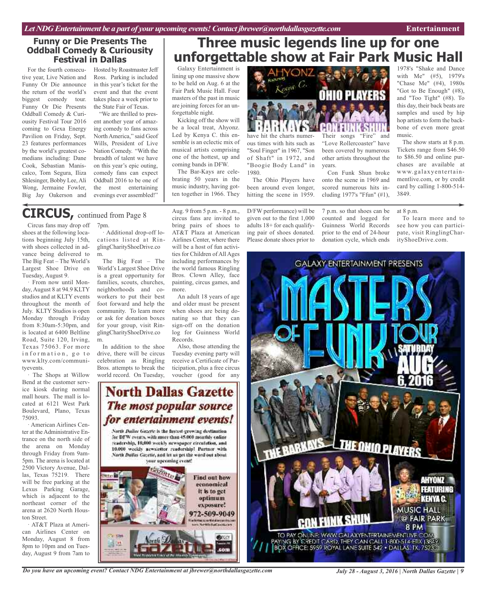#### **Funny or Die Presents The Oddball Comedy & Curiousity Festival in Dallas**

For the fourth consecutive year, Live Nation and Funny Or Die announce the return of the world's biggest comedy tour. Funny Or Die Presents Oddball Comedy & Curiousity Festival Tour 2016 coming to Gexa Energy Pavilion on Friday, Sept. 23 features performances by the world's greatest comedians including: Dane Cook, Sebastian Maniscalco, Tom Segura, Iliza Shlesinger, Bobby Lee,Ali Wong, Jermaine Fowler, Big Jay Oakerson and

Hosted by Roastmaster Jeff Ross. Parking is included in this year's ticket for the event and that the event takes place a week prior to the State Fair of Texas.

"We are thrilled to present another year of amazing comedy to fans across North America," said Geof Wills, President of Live Nation Comedy. "With the breadth of talent we have on this year's epic outing, comedy fans can expect Oddball 2016 to be one of the most entertaining evenings ever assembled!"

## Galaxy Entertainment is **Three music legends line up for one unforgettable show at Fair Park Music Hall**

lining up one massive show to be held on Aug. 6 at the Fair Park Music Hall. Four masters of the past in music are joining forces for an unforgettable night.

Kicking off the show will be a local treat, Ahyonz. Led by Kenya C. this ensemble is an eclectic mix of musical artists comprising one of the hottest, up and coming bands in DFW.

The Bar-Kays are celebrating 50 years in the music industry, having gotten together in 1966. They



have hit the charts numerous times with hits such as "Soul Finger" in 1967, "Son of Shaft" in 1972, and "Boogie Body Land" in 1980.

The Ohio Players have been around even longer, hitting the scene in 1959.

D/FW performance) will be given out to the first 1,000 adults 18+ for each qualifying pair of shoes donated. Please donate shoes prior to

Their songs "Fire" and "Love Rollercoaster" have been covered by numerous other artists throughout the years. Con Funk Shun broke

onto the scene in 1969 and scored numerous hits including 1977's "Ffun" (#1),

7 p.m. so that shoes can be counted and logged for Guinness World Records prior to the end of 24-hour donation cycle, which ends

1978's "Shake and Dance with Me" (#5), 1979's "Chase Me" (#4), 1980s "Got to Be Enough" (#8), and "Too Tight" (#8). To this day, their back beats are samples and used by hip hop artists to form the backbone of even more great music.

The show starts at 8 p.m. Tickets range from \$46.50 to \$86.50 and online purchases are available at www.galaxyentertainmentlive.com, or by credit card by calling 1-800-514- 3849.

#### at 8 p.m.

To learn more and to see how you can participate, visit RinglingCharityShoeDrive.com.



TO PAY ONLINE: WWW.GALAXYENTERTAINEMENTLIVE.COM AYING BY CREDIT CARD, THEY CAN CALL 1-800-514 ETIX (3549)<br>BOX OFFICE: 5959 ROYAL LANE SUITE 542 + DALLAS, TX, 75230

#### 7pm. **CIRCUS,** continued from Page <sup>8</sup>

Circus fans may drop off shoes at the following locations beginning July 15th, with shoes collected in advance being delivered to The Big Feat – The World's Largest Shoe Drive on Tuesday, August 9.

From now until Monday, August 8 at 94.9 KLTY studios and at KLTY events throughout the month of July. KLTY Studios is open Monday through Friday from 8:30am-5:30pm, and is located at 6400 Beltline Road, Suite 120, Irving, Texas 75063. For more information, go to www.klty.com/communityevents.

The Shops at Willow Bend at the customer service kiosk during normal mall hours. The mall is located at 6121 West Park Boulevard, Plano, Texas 75093.

· American Airlines Center at the Administrative Entrance on the north side of the arena on Monday through Friday from 9am-5pm. The arena is located at 2500 Victory Avenue, Dallas, Texas 75219. There will be free parking at the Lexus Parking Garage, which is adjacent to the northeast corner of the arena at 2620 North Houston Street.

· AT&T Plaza at American Airlines Center on Monday, August 8 from 8pm to 10pm and on Tuesday, August 9 from 7am to

Additional drop-off locations listed at RinglingCharityShoeDrive.co m.

The Big Feat – The World's Largest Shoe Drive is a great opportunity for families, scouts, churches, neighborhoods and coworkers to put their best foot forward and help the community. To learn more or ask for donation boxes for your group, visit RinglingCharityShoeDrive.co m.

In addition to the shoe drive, there will be circus celebration as Ringling Bros. attempts to break the world record. On Tuesday,

Aug. 9 from 5 p.m. - 8 p.m., circus fans are invited to bring pairs of shoes to AT&T Plaza at American Airlines Center, where there will be a host of fun activities for Children of All Ages including performances by the world famous Ringling Bros. Clown Alley, face painting, circus games, and more.

An adult 18 years of age and older must be present when shoes are being donating so that they can sign-off on the donation log for Guinness World Records.

Also, those attending the Tuesday evening party will receive a Certificate of Participation, plus a free circus voucher (good for any

#### for entertainment events! North Dailus Gazette is the fastest executive destination. for DFW events, with more than 45,000 monthly coline. readership, 10,000 workly newspaper circulation, and 10.000 weekly acwaictier readorship! Partner with

North Dallas Gazetic, and let us get the word out about your upcoming event!



*Do you have an upcoming event? Contact NDG Entertainment at jbrewer@northdallasgazette.com*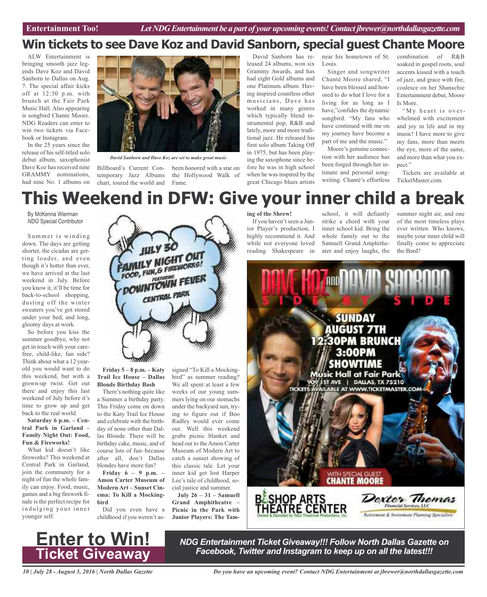# **Win tickets to see Dave Koz and David Sanborn, special guest Chante Moore**

ALW Entertainment is bringing smooth jazz legends Dave Koz and David Sanborn to Dallas on Aug. 7. The special affair kicks off at 12:30 p.m. with brunch at the Fair Park Music Hall. Also appearing is songbird Chante Moore. NDG Readers can enter to win two tickets via Facebook or Instagram.

In the 25 years since the release of his self-titled solo debut album, saxophonist Dave Koz has received nine GRAMMY nominations, had nine No. 1 albums on



*David Sanborn and Dave Koz are set to make great music*

temporary Jazz Albums chart, toured the world and

Billboard's Current Con-been honored with a star on the Hollywood Walk of Fame.

David Sanborn has released 24 albums, won six Grammy Awards, and has had eight Gold albums and one Platinum album. Having inspired countless other musicians, Dave has worked in many genres which typically blend instrumental pop, R&B and lately, more and more traditional jazz. He released his first solo album Taking Off in 1975, but has been playing the saxophone since before he was in high school when he was inspired by the great Chicago blues artists

near his hometown of St. Louis.

Singer and songwriter Chanté Moore shared, "I have been blessed and honored to do what I love for a living for as long as I have,"confides the dynamic songbird. "My fans who have continued with me on my journey have become a part of me and the music."

Moore's genuine connection with her audience has been forged through her intimate and personal songwriting. Chanté's effortless combination of R&B soaked in gospel roots, soul accents kissed with a touch of jazz, and grace with fire, coalesce on her Shanachie Entertainment debut, Moore Is More.

"My heart is overwhelmed with excitement and joy in life and in my music! I have more to give my fans, more than meets the eye, more of the same, and more than what you expect."

Tickets are available at TicketMaster.com.

# **This Weekend in DFW: Give your inner child a break**

By McKenna Wierman *NDG* Special Contributor

Summer is winding down. The days are getting shorter, the cicadas are getting louder, and even though it's hotter than ever, we have arrived at the last weekend in July. Before you know it, it'll be time for back-to-school shopping, dusting off the winter sweaters you've got stored under your bed, and long, gloomy days at work.

So before you kiss the summer goodbye, why not get in touch with your carefree, child-like, fun side? Think about what a 12 yearold you would want to do this weekend, but with a grown-up twist. Get out there and enjoy this last weekend of July before it's time to grow up and get back to the real world.

#### **Saturday 6 p.m. – Central Park in Garland – Family Night Out: Food, Fun & Fireworks!**

What kid doesn't like fireworks? This weekend at Central Park in Garland, join the community for a night of fun the whole family can enjoy. Food, music, games and a big firework finale is the perfect recipe for indulging your inner younger self.



**Friday 5 – 8 p.m. – Katy Trail Ice House – Dallas Blonde Birthday Bash**

There's nothing quite like a Summer a birthday party. This Friday come on down to the Katy Trail Ice House and celebrate with the birthday of none other than Dallas Blonde. There will be birthday cake, music, and of course lots of fun–because after all, don't Dallas blondes have more fun?

**Friday 6 – 9 p.m. – Amon Carter Museum of Modern Art – Sunset Cinema: To Kill a Mockingbird**

Did you even have a childhood if you weren't as-

signed "To Kill a Mockingbird" as summer reading? We all spent at least a few weeks of our young summers lying on our stomachs under the backyard sun, trying to figure out if Boo Radley would ever come out. Well this weekend grabs picnic blanket and head out to the Amon Carter Museum of Modern Art to catch a sunset showing of this classic tale. Let your inner kid get lost Harper Lee's tale of childhood, social justice and summer.

**July 26 – 31 – Samuell Grand Amphitheatre – Picnic in the Park with Junior Players: The Tam-**

#### **ing of the Shrew!**

If you haven't seen a Junior Player's production, I highly recommend it. And while not everyone loved reading Shakespeare in

school, it will defiantly strike a chord with your inner school kid. Bring the whole family out to the Samuell Grand Amphitheater and enjoy laughs, the

summer night air, and one of the most timeless plays ever written. Who knows, maybe your inner child will finally come to appreciate the Bard?





*NDG Entertainment Ticket Giveaway!!! Follow North Dallas Gazette on Facebook, Twitter and Instagram to keep up on all the latest!!!*

*10 | July 28 - August 3, 2016 | North Dallas Gazette*

*Do you have an upcoming event? Contact NDG Entertainment at jbrewer@northdallasgazette.com*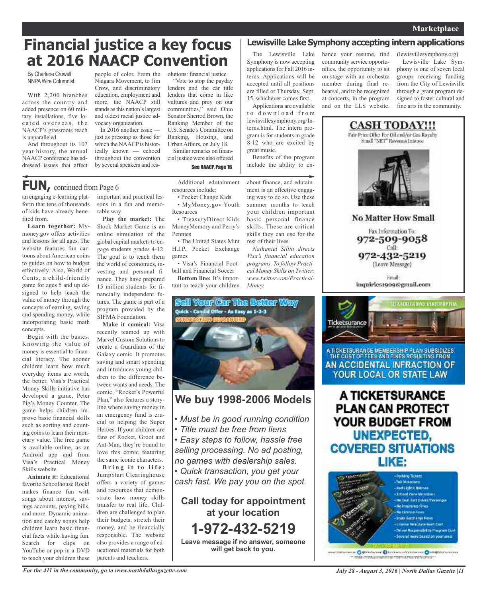# **Financial justice a key focus at 2016 NAACP Convention**

By Charlene Crowell **NNPA Wire Columnist** 

With 2,200 branches across the country and added presence on 60 military installations, five located overseas, the NAACP's grassroots reach is unparalleled.

And throughout its 107 year history, the annual NAACP conference has addressed issues that affect people of color. From the Niagara Movement, to Jim Crow, and discriminatory education, employment and more, the NAACP still stands as this nation's largest and oldest racial justice advocacy organization.

In 2016 another issue just as pressing as those for which the NAACP is historically known — echoed throughout the convention by several speakers and resolutions: financial justice.

"Vote to stop the payday lenders and the car title lenders that come in like vultures and prey on our communities," said Ohio Senator Sherrod Brown, the Ranking Member of the U.S. Senate's Committee on Banking, Housing, and Urban Affairs, on July 18. Similar remarks on finan-

cial justice were also offered See NAACP, Page 16

## **FUN,** continued from Page <sup>6</sup>

an engaging e-learning platform that tens of thousands of kids have already benefited from.

**Learn together:** Mymoney.gov offers activities and lessons for all ages. The website features fun cartoons about American coins to guides on how to budget effectively. Also, World of Cents, a child-friendly game for ages 5 and up designed to help teach the value of money through the concepts of earning, saving and spending money, while incorporating basic math concepts.

Begin with the basics: Knowing the value of money is essential to financial literacy. The sooner children learn how much everyday items are worth, the better. Visa's Practical Money Skills initiative has developed a game, Peter Pig's Money Counter. The game helps children improve basic financial skills such as sorting and counting coins to learn their monetary value. The free game is available online, as an Android app and from Visa's Practical Money Skills website.

**Animate it:** Educational favorite Schoolhouse Rock! makes finance fun with songs about interest, savings accounts, paying bills, and more. Dynamic animation and catchy songs help children learn basic financial facts while having fun. Search for clips on YouTube or pop in a DVD to teach your children these important and practical lessons in a fun and memorable way.

**Play the market:** The Stock Market Game is an online simulation of the global capital markets to engage students grades 4-12. The goal is to teach them the world of economics, investing and personal finance. They have prepared 15 million students for financially independent futures. The game is part of a program provided by the SIFMA Foundation.

**Make it comical:** Visa recently teamed up with Marvel Custom Solutions to create a Guardians of the Galaxy comic. It promotes saving and smart spending and introduces young children to the difference between wants and needs. The comic, "Rocket's Powerful Plan," also features a storyline where saving money in an emergency fund is crucial to helping the Super Heroes. If your children are fans of Rocket, Groot and Ant-Man, they're bound to love this comic featuring the same iconic characters.

**B r i n g i t t o l i f e :** Jump\$tart Clearinghouse offers a variety of games and resources that demonstrate how money skills transfer to real life. Children are challenged to plan their budgets, stretch their money, and be financially responsible. The website also provides a range of educational materials for both parents and teachers.

Additional edutainment resources include: • Pocket Change Kids

• MyMoney.gov Youth **Resources** 

• TreasuryDirect Kids MoneyMemory and Perry's Pennies

• The United States Mint H.I.P. Pocket Exchange games

• Visa's Financial Football and Financial Soccer

**Bottom line:** It's important to teach your children



## **We buy 1998-2006 Models**

- *• Must be in good running condition*
- *• Title must be free from liens*

*• Easy steps to follow, hassle free selling processing. No ad posting, no games with dealership sales.*

*• Quick transaction, you get your cash fast. We pay you on the spot.*

**Call today for appointment at your location 1-972-432-5219 Leave message if no answer, someone will get back to you.**

### **Lewisville Lake Symphony accepting intern applications**

The Lewisville Lake Symphony is now accepting applications for Fall 2016 interns. Applications will be accepted until all positions are filled or Thursday, Sept. 15, whichever comes first.

Applications are available to download from lewisvillesymphony.org/Interns.html. The intern program is for students in grade 8-12 who are excited by

great music. Benefits of the program include the ability to en-

about finance, and edutainment is an effective engaging way to do so. Use these summer months to teach your children important basic personal finance skills. These are critical skills they can use for the

*Nathaniel Sillin directs Visa's financial education programs. To follow Practical Money Skills on Twitter: www.twitter.com/Practical-*

rest of their lives.

*Money.*

hance your resume, find community service opportunities, the opportunity to sit on-stage with an orchestra member during final rehearsal, and to be recognized at concerts, in the program and on the LLS website.

(lewisvillesymphony.org)

Lewisville Lake Symphony is one of seven local groups receiving funding from the City of Lewisville through a grant program designed to foster cultural and fine arts in the community.



A TICKETSURANCE MEMBERSH P PLAN SUBSIDIZES THE COST OF FEES AND FINES RESULTING FROM AN ACCIDENTAL INFRACTION OF YOUR LOCAL OR STATE LAW

A TICKETSURANCE **PLAN CAN PROTECT** YOUR BUDGET FROM UNEXPECTED, **COVERED SITUATIONS** LIKE:



missionen O Stäbiniste O forbatteritzentalen O kilopolitikkerra mile profitamienti al forma futbori vervicine il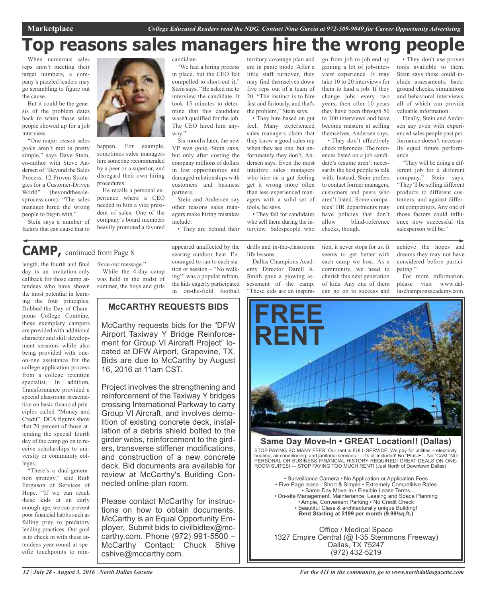# **Top reasons sales managers hire the wrong people**

When numerous sales reps aren't meeting their target numbers, a company's puzzled leaders may go scrambling to figure out the cause.

But it could be the genesis of the problem dates back to when those sales people showed up for a job interview.

"One major reason sales goals aren't met is pretty simple," says Dave Stein, co-author with Steve Andersen of "Beyond the Sales Process: 12 Proven Strategies for a Customer-Driven World" (beyondthesalesprocess.com). "The sales manager hired the wrong people to begin with."

Stein says a number of factors that can cause that to



happen. For example, sometimes sales managers hire someone recommended by a peer or a superior, and disregard their own hiring procedures.

He recalls a personal experience where a CEO needed to hire a vice president of sales. One of the company's board members heavily promoted a favored candidate.

"We had a hiring process in place, but the CEO felt compelled to short-cut it," Stein says. "He asked me to interview the candidate. It took 15 minutes to determine that this candidate wasn't qualified for the job. The CEO hired him anyway."

Six months later, the new VP was gone, Stein says, but only after costing the company millions of dollars in lost opportunities and damaged relationships with customers and business partners.

Stein and Andersen say other reasons sales managers make hiring mistakes include:

• They are behind their

territory coverage plan and are in panic mode. After a little staff turnover, they may find themselves down five reps out of a team of 20. "The instinct is to hire fast and furiously, and that's the problem," Stein says.

• They hire based on gut feel. Many experienced sales managers claim that they know a good sales rep when they see one, but unfortunately they don't, Andersen says. Even the most intuitive sales managers who hire on a gut feeling get it wrong more often than less-experienced managers with a solid set of tools, he says.

• They fall for candidates who sell them during the interview. Salespeople who

drills and in-the-classroom life lessons.

Dallas Champions Academy Director Darell A. Smith gave a glowing assessment of the camp. "These kids are an inspirago from job to job end up gaining a lot of job-interview experience. It may take 10 to 20 interviews for them to land a job. If they change jobs every two years, then after 10 years they have been through 50 to 100 interviews and have become masters at selling themselves, Andersen says.

• They don't effectively check references. The references listed on a job candidate's resume aren't necessarily the best people to talk with. Instead, Stein prefers to contact former managers, customers and peers who aren't listed. Some companies' HR departments may have policies that don't allow blind-reference checks, though.

tion, it never stops for us. It seems to get better with each camp we host. As a community, we need to cherish this next generation of kids. Any one of them can go on to success and

• They don't use proven tools available to them. Stein says those could include assessments, background checks, simulations and behavioral interviews, all of which can provide valuable information.

Finally, Stein and Andersen say even with experienced sales people past performance doesn't necessarily equal future performance.

"They will be doing a different job for a different company," Stein says. "They'll be selling different products to different customers, and against different competitors. Any one of those factors could influence how successful the salesperson will be."

#### achieve the hopes and dreams they may not have considered before participating."

For more information, please visit www.dallaschampionsacademy.com.



#### **Same Day Move-In • GREAT Location!! (Dallas)**

STOP PAYING SO MANY FEES! Our rent is FULL SERVICE. We pay for utilities – electricity, heating, air conditioning, and janitorial services … it's all included! No "Plus-E"– No "CAM."NO PERSONAL OR BUSINESS FINANCIAL HISTORY REQUIRED! GREAT DEALS ON ONE-ROOM SUITES! --- STOP PAYING TOO MUCH RENT! (Just North of Downtown Dallas)

• Surveillance Camera • No Application or Application Fees • Five-Page lease - Short & Simple • Extremely Competitive Rates • Same-Day Move-In • Flexible Lease Terms • On-site Management, Maintenance, Leasing and Space Planning • Ample, Convenient Parking • No Credit Check • Beautiful Glass & architecturally unique Building! **Rent Starting at \$199 per month (9.99/sq.ft.)**

Office / Medical Space 1327 Empire Central (@ I-35 Stemmons Freeway) Dallas, TX 75247 (972) 432-5219

# **CAMP,** continued from Page <sup>8</sup>

length, the fourth and final day is an invitation-only callback for those camp attendees who have shown the most potential in learning the four principles. Dubbed the Day of Champions College Combine, these exemplary campers are provided with additional character and skill development sessions while also being provided with oneon-one assistance for the college application process from a college retention specialist. In addition, Transformance provided a special classroom presentation on basic financial principles called "Money and Credit". DCA figures show that 70 percent of those attending the special fourth day of the camp go on to receive scholarships to university or community colleges.

"There's a dual-generation strategy," said Ruth Ferguson of Services of Hope. "If we can reach these kids at an early enough age, we can prevent poor financial habits such as falling prey to predatory lending practices. Our goal is to check in with these attendees year-round at specific touchpoints to rein-

While the 4-day camp was held in the midst of summer, the boys and girls

force our message."

appeared unaffected by the searing outdoor heat. Encouraged to run to each station or session – "No walking!" was a popular refrain, the kids eagerly participated in on-the-field football

#### **McCARTHY REQUESTS BIDS**

McCarthy requests bids for the "DFW Airport Taxiway Y Bridge Reinforcement for Group VI Aircraft Project" located at DFW Airport, Grapevine, TX. Bids are due to McCarthy by August 16, 2016 at 11am CST.

Project involves the strengthening and reinforcement of the Taxiway Y bridges crossing International Parkway to carry Group VI Aircraft, and involves demolition of existing concrete deck, installation of a debris shield bolted to the girder webs, reinforcement to the girders, transverse stiffener modifications, and construction of a new concrete deck. Bid documents are available for review at McCarthy's Building Connected online plan room.

Please contact McCarthy for instructions on how to obtain documents. McCarthy is an Equal Opportunity Employer. Submit bids to civilbidtex@mccarthy.com. Phone (972) 991-5500 – McCarthy Contact: Chuck Shive cshive@mccarthy.com.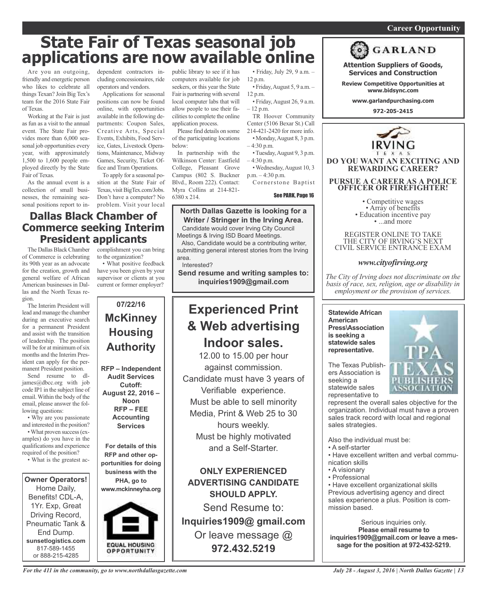#### *On a quest for qualified candidates? Contact Nina Garcia at 972-509-9049* **Career Opportunity**

# **State Fair of Texas seasonal job applications are now available online**

Are you an outgoing, friendly and energetic person who likes to celebrate all things Texan? Join Big Tex's team for the 2016 State Fair of Texas.

Working at the Fair is just as fun as a visit to the annual event. The State Fair provides more than 6,000 seasonal job opportunities every year, with approximately 1,500 to 1,600 people employed directly by the State Fair of Texas.

As the annual event is a collection of small businesses, the remaining seasonal positions report to independent contractors including concessionaires, ride operators and vendors.

Applications for seasonal positions can now be found online, with opportunities available in the following departments: Coupon Sales, Creative Arts, Special Events, Exhibits, Food Service, Gates, Livestock Operations, Maintenance, Midway Games, Security, Ticket Office and Tram Operations.

To apply for a seasonal position at the State Fair of Texas, visit BigTex.com/Jobs. Don't have a computer? No

#### problem. Visit your local **Dallas Black Chamber of Commerce seeking Interim President applicants**

The Dallas Black Chamber of Commerce is celebrating its 90th year as an advocate for the creation, growth and general welfare of African American businesses in Dallas and the North Texas region.

The Interim President will lead and manage the chamber during an executive search for a permanent President and assist with the transition of leadership. The position will be for at minimum of six months and the Interim President can apply for the permanent President position.

Send resume to dljames@dbcc.org with job code IP1 in the subject line of email. Within the body of the email, please answer the following questions:

• Why are you passionate and interested in the position? • What proven success (examples) do you have in the qualifications and experience required of the position?

• What is the greatest ac-

**Owner Operators!** Home Daily, Benefits! CDL-A, 1Yr. Exp, Great Driving Record, Pneumatic Tank & End Dump. **sunsetlogistics.com** 817-589-1455 or 888-215-4285

complishment you can bring to the organization?

• What positive feedback have you been given by your supervisor or clients at you current or former employer?



public library to see if it has computers available for job seekers, or this year the State Fair is partnering with several local computer labs that will allow people to use their facilities to complete the online application process.

Please find details on some of the participating locations below:

In partnership with the Wilkinson Center: Eastfield College, Pleasant Grove Campus (802 S. Buckner Blvd., Room 222). Contact: Myra Collins at 214-821- 6380 x 214.

• Friday, July 29, 9 a.m. – 12 p.m.

- Friday,August 5, 9 a.m. 12 p.m.
- Friday,August 26, 9 a.m. – 12 p.m.

TR Hoover Community Center (5106 Bexar St.) Call 214-421-2420 for more info. • Monday,August 8, 3 p.m.

 $-4:30$  p.m. •Tuesday,August 9, 3 p.m.

– 4:30 p.m. • Wednesday,August 10, 3

p.m. – 4:30 p.m.

Cornerstone Baptist

See PARK, Page 16

#### **North Dallas Gazette is looking for a Writer / Stringer in the Irving Area.**

Candidate would cover Irving City Council Meetings & Irving ISD Board Meetings.

Also, Candidate would be a contributing writer, submitting general interest stories from the Irving area.

Interested?

**Send resume and writing samples to: inquiries1909@gmail.com**

# **Experienced Print & Web advertising Indoor sales.**

12.00 to 15.00 per hour against commission. Candidate must have 3 years of Verifiable experience. Must be able to sell minority Media, Print & Web 25 to 30 hours weekly. Must be highly motivated and a Self-Starter.

**ONLY EXPERIENCED ADVERTISING CANDIDATE SHOULD APPLY.** Send Resume to:

**Inquiries1909@ gmail.com** Or leave message @ **972.432.5219**



**DO YOU WANT AN EXCITING AND REWARDING CAREER?**

**Attention Suppliers of Goods, Services and Construction Review Competitive Opportunities at www.bidsync.com www.garlandpurchasing.com 972-205-2415**

**GARLAND** 

**PURSUE A CAREER AS A POLICE OFFICER OR FIREFIGHTER!**

• Competitive wages<br>• Array of benefits<br>• Education incentive pay<br>• ...and more

REGISTER ONLINE TO TAKE THE CITY OF IRVING'S NEXT CIVIL SERVICE ENTRANCE EXAM

#### *www.cityofirving.org*

*The City of Irving does not discriminate on the basis of race, sex, religion, age or disability in employment or the provision of services.*

**Statewide African American Press\Association is seeking a statewide sales representative.**

The Texas Publish-

ers Association is seeking a statewide sales representative to

represent the overall sales objective for the organization. Individual must have a proven sales track record with local and regional sales strategies.

Also the individual must be:

- A self-starter
- Have excellent written and verbal communication skills
- A visionary
- Professional

• Have excellent organizational skills Previous advertising agency and direct sales experience a plus. Position is commission based.

Serious inquiries only. **Please email resume to inquiries1909@gmail.com or leave a message for the position at 972-432-5219.**

OPPORTUNITY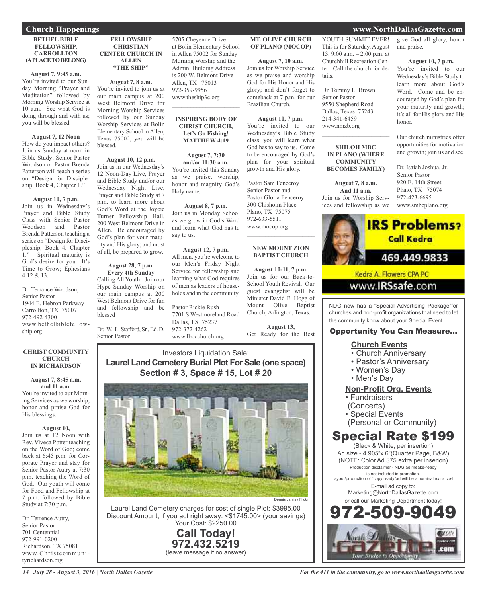#### **BETHEL BIBLE FELLOWSHIP, CARROLLTON (APLACETOBELONG)**

#### **August 7, 9:45 a.m.**

You're invited to our Sunday Morning "Prayer and Meditation" followed by Morning Worship Service at 10 a.m. See what God is doing through and with us; you will be blessed.

#### **August 7, 12 Noon**

How do you impact others? Join us Sunday at noon in Bible Study; Senior Pastor Woodson or Pastor Brenda Patterson will teach a series on "Design for Discipleship, Book 4, Chapter 1."

#### **August 10, 7 p.m.**

Join us in Wednesday's Prayer and Bible Study Class with Senior Pastor Woodson and Pastor Brenda Patterson teaching a series on "Design for Discipleship, Book 4. Chapter 1." Spiritual maturity is Spiritual maturity is God's desire for you. It's Time to Grow; Ephesians 4:12 & 13.

Dr. Terrance Woodson, Senior Pastor 1944 E. Hebron Parkway Carrollton, TX 75007 972-492-4300 www.bethelbiblefellowship.org  $\mathcal{L}_\mathcal{L}$  , where  $\mathcal{L}_\mathcal{L}$  is the set of the set of the set of the set of the set of the set of the set of the set of the set of the set of the set of the set of the set of the set of the set of the set of the

#### **CHRIST COMMUNITY CHURCH IN RICHARDSON**

**August 7, 8:45 a.m. and 11 a.m.** You're invited to our Morning Services as we worship, honor and praise God for His blessings.

#### **August 10,**

Join us at 12 Noon with Rev. Viveca Potter teaching on the Word of God; come back at 6:45 p.m. for Corporate Prayer and stay for Senior Pastor Autry at 7:30 p.m. teaching the Word of God. Our youth will come for Food and Fellowship at 7 p.m. followed by Bible Study at 7:30 p.m.

Dr. Terrence Autry, Senior Pastor 701 Centennial 972-991-0200 Richardson, TX 75081 www.Christcommunityrichardson.org

#### **FELLOWSHIP CHRISTIAN CENTER CHURCH IN ALLEN "THE SHIP"**

#### **August 7, 8 a.m.**

You're invited to join us at our main campus at 200 West Belmont Drive for Morning Worship Services followed by our Sunday Worship Services at Bolin Elementary School in Allen, Texas 75002, you will be blessed.

#### **August 10, 12 p.m.** Join us in our Wednesday's 12 Noon-Day Live, Prayer and Bible Study and/or our Wednesday Night Live, Prayer and Bible Study at 7 p.m. to learn more about God's Word at the Joycie Turner Fellowship Hall, 200 West Belmont Drive in Allen. Be encouraged by God's plan for your maturity and His glory; and most

**August 28, 7 p.m.**

of all, be prepared to grow.

**Every 4th Sunday** Calling All Youth! Join our Hype Sunday Worship on our main campus at 200 West Belmont Drive for fun and fellowship and be blessed

Dr. W. L. Stafford, Sr., Ed. D. Senior Pastor

5705 Cheyenne Drive at Bolin Elementary School in Allen 75002 for Sunday Morning Worship and the Admin. Building Address is 200 W. Belmont Drive Allen, TX 75013 972-359-9956 www.theship3c.org

#### **INSPIRING BODY OF CHRIST CHURCH, Let's Go Fishing! MATTHEW 4:19**

 $\overline{\phantom{a}}$  , and the set of the set of the set of the set of the set of the set of the set of the set of the set of the set of the set of the set of the set of the set of the set of the set of the set of the set of the s

**August 7, 7:30 and/or 11:30 a.m.** You're invited this Sunday as we praise, worship, honor and magnify God's Holy name.

#### **August 8, 7 p.m.**

Join us in Monday School as we grow in God's Word and learn what God has to say to us.

#### **August 12, 7 p.m.** All men, you're welcome to our Men's Friday Night Service for fellowship and learning what God requires of men as leaders of households and in the community.

Pastor Rickie Rush 7701 S Westmoreland Road Dallas, TX 75237 972-372-4262 www.Ibocchurch.org

#### **MT. OLIVE CHURCH OF PLANO (MOCOP)**

**August 7, 10 a.m.** Join us for Worship Service as we praise and worship God for His Honor and His glory; and don't forget to comeback at 7 p.m. for our Brazilian Church.

**August 10, 7 p.m.** You're invited to our Wednesday's Bible Study class; you will learn what God has to say to us. Come to be encouraged by God's plan for your spiritual growth and His glory.

Pastor Sam Fenceroy Senior Pastor and Pastor Gloria Fenceroy 300 Chisholm Place Plano, TX 75075 972-633-5511 www.mocop.org  $\mathcal{L}$  , and the set of the set of the set of the set of the set of the set of the set of the set of the set of the set of the set of the set of the set of the set of the set of the set of the set of the set of the set

#### **NEW MOUNT ZION BAPTIST CHURCH**

**August 10-11, 7 p.m.** Join us for our Back-to-School Youth Revival. Our guest evangelist will be Minister David E. Hogg of Mount Olive Baptist Church, Arlington, Texas.

**August 13,** Get Ready for the Best

#### Investors Liquidation Sale: **Laurel Land Cemetery Burial Plot For Sale (one space) Section # 3, Space # 15, Lot # 20**



Laurel Land Cemetery charges for cost of single Plot: \$3995.00 Discount Amount, if you act right away: <\$1745.00> (your savings) Your Cost: \$2250.00

> **Call Today! 972.432.5219** (leave message,if no answer)

YOUTH SUMMIT EVER! This is for Saturday, August 13, 9:00 a.m. – 2:00 p.m. at Churchhill Recreation Center. Call the church for details.

Dr. Tommy L. Brown Senior Pastor 9550 Shepherd Road Dallas, Texas 75243 214-341-6459 www.nmzb.org

#### **SHILOH MBC IN PLANO (WHERE COMMUNITY BECOMES FAMILY)**

 $\mathcal{L}_\text{max}$  , which is a set of the set of the set of the set of the set of the set of the set of the set of the set of the set of the set of the set of the set of the set of the set of the set of the set of the set of

**August 7, 8 a.m. And 11 a.m.** Join us for Worship Services and fellowship as we give God all glory, honor and praise.

#### **August 10, 7 p.m.**

You're invited to our Wednesday's Bible Study to learn more about God's Word. Come and be encouraged by God's plan for your maturity and growth; it's all for His glory and His honor.

Our church ministries offer opportunities for motivation and growth; join us and see.

Dr. Isaiah Joshua, Jr. Senior Pastor 920 E. 14th Street Plano, TX 75074 972-423-6695 www.smbcplano.org



Kedra A. Flowers CPA PC

### www.**IRSsafe**.com

NDG now has a "Special Advertising Package"for churches and non-profit organizations that need to let the community know about your Special Event.

#### Opportunity You Can Measure...

#### **Church Events**

- Church Anniversary
- Pastor's Anniversary
- Women's Day
- Men's Day

#### **Non-Profit Org. Events**

- Fundraisers
- (Concerts)
- Special Events
- (Personal or Community)

# Special Rate \$199

(Black & White, per insertion) Ad size - 4.905"x 6"(Quarter Page, B&W) (NOTE: Color Ad \$75 extra per inserion) Production disclaimer - NDG ad meake-ready is not included in promotion. Layout/production of "copy ready"ad will be a nominal extra cost. E-mail ad copy to: Marketing@NorthDallasGazette.com or call our Marketing Department today! 972-509-9049



#### **Church Happenings www.NorthDallasGazette.com**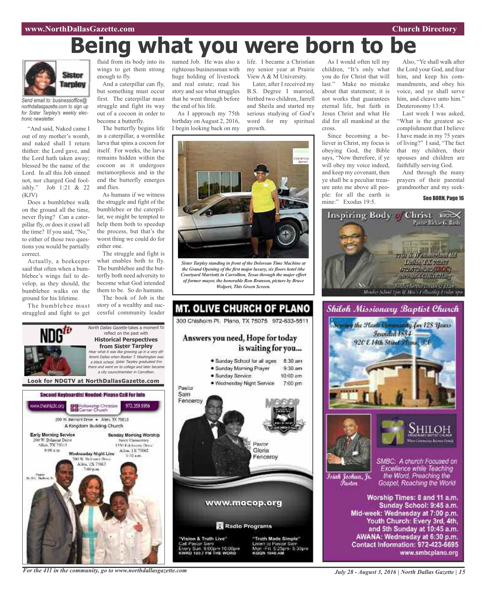# **Being what you were born to be**



*Send email to: businessoffice@ northdallasgazette.com to sign up for Sister Tarpley's weekly electronic newsletter.*

"And said, Naked came I out of my mother's womb, and naked shall I return thither: the Lord gave, and the Lord hath taken away; blessed be the name of the Lord. In all this Job sinned not, nor charged God fool-<br>ishly." Job 1:21 & 22 Job 1:21 & 22 (KJV)

Does a bumblebee walk on the ground all the time, never flying? Can a caterpillar fly, or does it crawl all the time? If you said, "No," to either of those two questions you would be partially correct.

Actually, a beekeeper said that often when a bumblebee's wings fail to develop, as they should, the bumblebee walks on the ground for his lifetime.

The bumblebee must struggled and fight to get

fluid from its body into its wings to get them strong enough to fly.

And a caterpillar can fly, but something must occur first. The caterpillar must struggle and fight its way out of a cocoon in order to become a butterfly.

The butterfly begins life as a caterpillar, a wormlike larva that spins a cocoon for itself. For weeks, the larva remains hidden within the cocoon as it undergoes metamorphosis and in the end the butterfly emerges and flies.

As humans if we witness the struggle and fight of the bumblebee or the caterpillar, we might be tempted to help them both to speedup the process, but that's the worst thing we could do for either one.

The struggle and fight is what enables both to fly. The bumblebee and the butterfly both need adversity to become what God intended them to be. So do humans.

The book of Job is the story of a wealthy and successful community leader

North Dallas Gazette takes a moment to reflect on the past with

righteous businessman with huge holding of livestock and real estate; read his story and see what struggles that he went through before the end of his life.

As I approach my 75th birthday on August 2, 2016, I begin looking back on my

named Job. He was also a life. I became a Christian my senior year at Prairie View A & M University. Later, after I received my

> B.S. Degree I married, birthed two children, Jarrell and Sheila and started my serious studying of God's word for my spiritual growth.



*Sister Tarpley standing in front of the Delorean Time Machine at the Grand Opening of the first major luxury, six floors hotel (the Courtyard Marriott) in Carrollton, Texas through the major effort of former mayor, the honorable Ron Branson, picture by Bruce Wolpert, This Green Screen.*



As I would often tell my children, "It's only what you do for Christ that will last." Make no mistake about that statement; it is not works that guarantees eternal life, but faith in Jesus Christ and what He did for all mankind at the cross.

Since becoming a believer in Christ, my focus is obeying God, the Bible says, "Now therefore, if ye will obey my voice indeed, and keep my covenant, then ye shall be a peculiar treasure unto me above all people: for all the earth is mine:" Exodus 19:5.

Also, "Ye shall walk after the Lord your God, and fear him, and keep his commandments, and obey his voice, and ye shall serve him, and cleave unto him." Deuteronomy 13:4.

Last week I was asked, "What is the greatest accomplishment that I believe I have made in my 75 years of living?" I said, "The fact that my children, their spouses and children are faithfully serving God.

And through the many prayers of their parental grandmother and my seek-

See BORN, Page 16







Islah Joshua, Jr. Fustor

SMBC: A church Focused on Excellence while Teaching the Word. Preaching the Gospel, Reaching the World

Worship Times: 8 and 11 a.m. Sunday School: 9:45 a.m. Mid-week: Wednesday at 7:00 p.m. Youth Church: Every 3rd, 4th, and 5th Sunday at 10:45 a.m. AWANA: Wednesday at 6:30 p.m. Contact Information: 972-423-6695 www.smbcplano.org



*For the 411 in the community, go to www.northdallasgazette.com*

*July 28 - August 3, 2016 | North Dallas Gazette | 15*